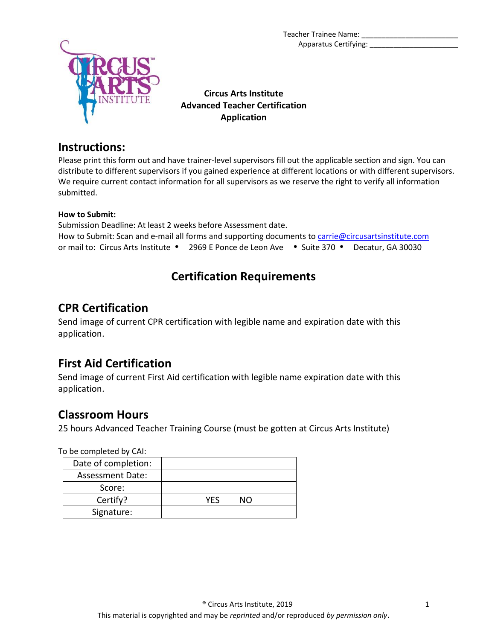Teacher Trainee Name: Apparatus Certifying:



**Circus Arts Institute Advanced Teacher Certification Application**

### **Instructions:**

Please print this form out and have trainer-level supervisors fill out the applicable section and sign. You can distribute to different supervisors if you gained experience at different locations or with different supervisors. We require current contact information for all supervisors as we reserve the right to verify all information submitted.

#### **How to Submit:**

Submission Deadline: At least 2 weeks before Assessment date. How to Submit: Scan and e-mail all forms and supporting documents to [carrie@circusartsinstitute.com](mailto:carrie@circusartsinstitute.com) or mail to: Circus Arts Institute • 2969 E Ponce de Leon Ave • Suite 370 • Decatur, GA 30030

# **Certification Requirements**

## **CPR Certification**

Send image of current CPR certification with legible name and expiration date with this application.

## **First Aid Certification**

Send image of current First Aid certification with legible name expiration date with this application.

## **Classroom Hours**

25 hours Advanced Teacher Training Course (must be gotten at Circus Arts Institute)

To be completed by CAI:

| Date of completion: |     |    |
|---------------------|-----|----|
| Assessment Date:    |     |    |
| Score:              |     |    |
| Certify?            | YFS | NΩ |
| Signature:          |     |    |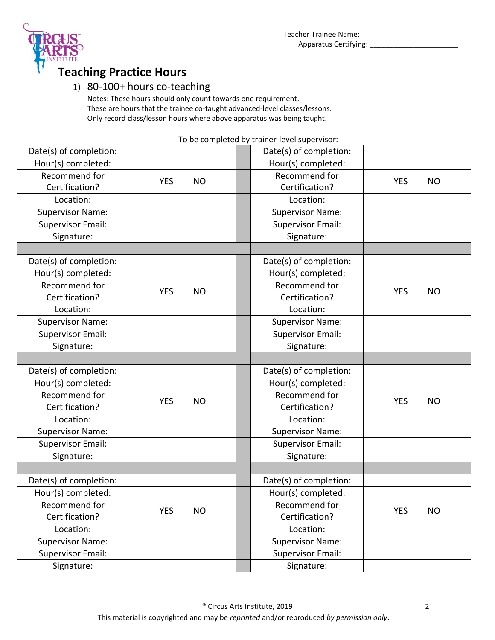



# **Teaching Practice Hours**

### 1) 80-100+ hours co-teaching

Notes: These hours should only count towards one requirement. These are hours that the trainee co-taught advanced-level classes/lessons. Only record class/lesson hours where above apparatus was being taught.

To be completed by trainer-level supervisor:

| Date(s) of completion:<br>Date(s) of completion:<br>Hour(s) completed:<br>Hour(s) completed:<br>Recommend for<br>Recommend for<br><b>YES</b><br><b>NO</b><br><b>YES</b><br><b>NO</b><br>Certification?<br>Certification?<br>Location:<br>Location:<br><b>Supervisor Name:</b><br><b>Supervisor Name:</b><br><b>Supervisor Email:</b><br><b>Supervisor Email:</b><br>Signature:<br>Signature:<br>Date(s) of completion:<br>Date(s) of completion:<br>Hour(s) completed:<br>Hour(s) completed:<br>Recommend for<br>Recommend for<br><b>YES</b><br><b>NO</b><br><b>YES</b><br><b>NO</b><br>Certification?<br>Certification?<br>Location:<br>Location:<br><b>Supervisor Name:</b><br><b>Supervisor Name:</b><br><b>Supervisor Email:</b><br><b>Supervisor Email:</b><br>Signature:<br>Signature:<br>Date(s) of completion:<br>Date(s) of completion:<br>Hour(s) completed:<br>Hour(s) completed:<br>Recommend for<br>Recommend for<br><b>YES</b><br><b>NO</b><br><b>YES</b><br><b>NO</b><br>Certification?<br>Certification?<br>Location:<br>Location:<br><b>Supervisor Name:</b><br><b>Supervisor Name:</b><br><b>Supervisor Email:</b><br><b>Supervisor Email:</b> |
|------------------------------------------------------------------------------------------------------------------------------------------------------------------------------------------------------------------------------------------------------------------------------------------------------------------------------------------------------------------------------------------------------------------------------------------------------------------------------------------------------------------------------------------------------------------------------------------------------------------------------------------------------------------------------------------------------------------------------------------------------------------------------------------------------------------------------------------------------------------------------------------------------------------------------------------------------------------------------------------------------------------------------------------------------------------------------------------------------------------------------------------------------------------|
|                                                                                                                                                                                                                                                                                                                                                                                                                                                                                                                                                                                                                                                                                                                                                                                                                                                                                                                                                                                                                                                                                                                                                                  |
|                                                                                                                                                                                                                                                                                                                                                                                                                                                                                                                                                                                                                                                                                                                                                                                                                                                                                                                                                                                                                                                                                                                                                                  |
|                                                                                                                                                                                                                                                                                                                                                                                                                                                                                                                                                                                                                                                                                                                                                                                                                                                                                                                                                                                                                                                                                                                                                                  |
|                                                                                                                                                                                                                                                                                                                                                                                                                                                                                                                                                                                                                                                                                                                                                                                                                                                                                                                                                                                                                                                                                                                                                                  |
|                                                                                                                                                                                                                                                                                                                                                                                                                                                                                                                                                                                                                                                                                                                                                                                                                                                                                                                                                                                                                                                                                                                                                                  |
|                                                                                                                                                                                                                                                                                                                                                                                                                                                                                                                                                                                                                                                                                                                                                                                                                                                                                                                                                                                                                                                                                                                                                                  |
|                                                                                                                                                                                                                                                                                                                                                                                                                                                                                                                                                                                                                                                                                                                                                                                                                                                                                                                                                                                                                                                                                                                                                                  |
|                                                                                                                                                                                                                                                                                                                                                                                                                                                                                                                                                                                                                                                                                                                                                                                                                                                                                                                                                                                                                                                                                                                                                                  |
|                                                                                                                                                                                                                                                                                                                                                                                                                                                                                                                                                                                                                                                                                                                                                                                                                                                                                                                                                                                                                                                                                                                                                                  |
|                                                                                                                                                                                                                                                                                                                                                                                                                                                                                                                                                                                                                                                                                                                                                                                                                                                                                                                                                                                                                                                                                                                                                                  |
|                                                                                                                                                                                                                                                                                                                                                                                                                                                                                                                                                                                                                                                                                                                                                                                                                                                                                                                                                                                                                                                                                                                                                                  |
|                                                                                                                                                                                                                                                                                                                                                                                                                                                                                                                                                                                                                                                                                                                                                                                                                                                                                                                                                                                                                                                                                                                                                                  |
|                                                                                                                                                                                                                                                                                                                                                                                                                                                                                                                                                                                                                                                                                                                                                                                                                                                                                                                                                                                                                                                                                                                                                                  |
|                                                                                                                                                                                                                                                                                                                                                                                                                                                                                                                                                                                                                                                                                                                                                                                                                                                                                                                                                                                                                                                                                                                                                                  |
|                                                                                                                                                                                                                                                                                                                                                                                                                                                                                                                                                                                                                                                                                                                                                                                                                                                                                                                                                                                                                                                                                                                                                                  |
|                                                                                                                                                                                                                                                                                                                                                                                                                                                                                                                                                                                                                                                                                                                                                                                                                                                                                                                                                                                                                                                                                                                                                                  |
|                                                                                                                                                                                                                                                                                                                                                                                                                                                                                                                                                                                                                                                                                                                                                                                                                                                                                                                                                                                                                                                                                                                                                                  |
|                                                                                                                                                                                                                                                                                                                                                                                                                                                                                                                                                                                                                                                                                                                                                                                                                                                                                                                                                                                                                                                                                                                                                                  |
|                                                                                                                                                                                                                                                                                                                                                                                                                                                                                                                                                                                                                                                                                                                                                                                                                                                                                                                                                                                                                                                                                                                                                                  |
|                                                                                                                                                                                                                                                                                                                                                                                                                                                                                                                                                                                                                                                                                                                                                                                                                                                                                                                                                                                                                                                                                                                                                                  |
|                                                                                                                                                                                                                                                                                                                                                                                                                                                                                                                                                                                                                                                                                                                                                                                                                                                                                                                                                                                                                                                                                                                                                                  |
|                                                                                                                                                                                                                                                                                                                                                                                                                                                                                                                                                                                                                                                                                                                                                                                                                                                                                                                                                                                                                                                                                                                                                                  |
|                                                                                                                                                                                                                                                                                                                                                                                                                                                                                                                                                                                                                                                                                                                                                                                                                                                                                                                                                                                                                                                                                                                                                                  |
|                                                                                                                                                                                                                                                                                                                                                                                                                                                                                                                                                                                                                                                                                                                                                                                                                                                                                                                                                                                                                                                                                                                                                                  |
|                                                                                                                                                                                                                                                                                                                                                                                                                                                                                                                                                                                                                                                                                                                                                                                                                                                                                                                                                                                                                                                                                                                                                                  |
| Signature:<br>Signature:                                                                                                                                                                                                                                                                                                                                                                                                                                                                                                                                                                                                                                                                                                                                                                                                                                                                                                                                                                                                                                                                                                                                         |
|                                                                                                                                                                                                                                                                                                                                                                                                                                                                                                                                                                                                                                                                                                                                                                                                                                                                                                                                                                                                                                                                                                                                                                  |
| Date(s) of completion:<br>Date(s) of completion:                                                                                                                                                                                                                                                                                                                                                                                                                                                                                                                                                                                                                                                                                                                                                                                                                                                                                                                                                                                                                                                                                                                 |
| Hour(s) completed:<br>Hour(s) completed:                                                                                                                                                                                                                                                                                                                                                                                                                                                                                                                                                                                                                                                                                                                                                                                                                                                                                                                                                                                                                                                                                                                         |
| Recommend for<br>Recommend for                                                                                                                                                                                                                                                                                                                                                                                                                                                                                                                                                                                                                                                                                                                                                                                                                                                                                                                                                                                                                                                                                                                                   |
| <b>YES</b><br><b>NO</b><br><b>YES</b><br><b>NO</b><br>Certification?<br>Certification?                                                                                                                                                                                                                                                                                                                                                                                                                                                                                                                                                                                                                                                                                                                                                                                                                                                                                                                                                                                                                                                                           |
| Location:<br>Location:                                                                                                                                                                                                                                                                                                                                                                                                                                                                                                                                                                                                                                                                                                                                                                                                                                                                                                                                                                                                                                                                                                                                           |
| <b>Supervisor Name:</b><br><b>Supervisor Name:</b>                                                                                                                                                                                                                                                                                                                                                                                                                                                                                                                                                                                                                                                                                                                                                                                                                                                                                                                                                                                                                                                                                                               |
| <b>Supervisor Email:</b><br><b>Supervisor Email:</b>                                                                                                                                                                                                                                                                                                                                                                                                                                                                                                                                                                                                                                                                                                                                                                                                                                                                                                                                                                                                                                                                                                             |
| Signature:<br>Signature:                                                                                                                                                                                                                                                                                                                                                                                                                                                                                                                                                                                                                                                                                                                                                                                                                                                                                                                                                                                                                                                                                                                                         |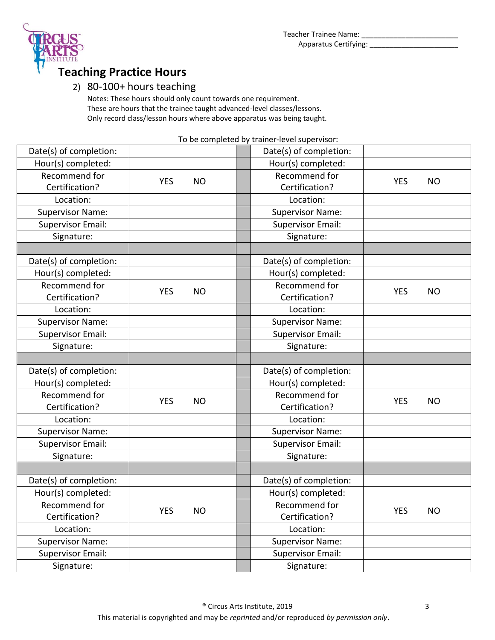



# **Teaching Practice Hours**

### 2) 80-100+ hours teaching

Notes: These hours should only count towards one requirement. These are hours that the trainee taught advanced-level classes/lessons. Only record class/lesson hours where above apparatus was being taught.

To be completed by trainer-level supervisor:

| Date(s) of completion:   |                         |               | Date(s) of completion:   |            |           |
|--------------------------|-------------------------|---------------|--------------------------|------------|-----------|
| Hour(s) completed:       |                         |               | Hour(s) completed:       |            |           |
| Recommend for            | <b>YES</b>              | <b>NO</b>     | Recommend for            | <b>YES</b> |           |
| Certification?           |                         |               | Certification?           |            | <b>NO</b> |
| Location:                |                         |               | Location:                |            |           |
| <b>Supervisor Name:</b>  |                         |               | <b>Supervisor Name:</b>  |            |           |
| <b>Supervisor Email:</b> |                         |               | <b>Supervisor Email:</b> |            |           |
| Signature:               |                         |               | Signature:               |            |           |
|                          |                         |               |                          |            |           |
| Date(s) of completion:   |                         |               | Date(s) of completion:   |            |           |
| Hour(s) completed:       |                         |               | Hour(s) completed:       |            |           |
| Recommend for            | <b>YES</b>              | <b>NO</b>     | Recommend for            | <b>YES</b> | <b>NO</b> |
| Certification?           |                         |               | Certification?           |            |           |
| Location:                |                         |               | Location:                |            |           |
| <b>Supervisor Name:</b>  |                         |               | <b>Supervisor Name:</b>  |            |           |
| <b>Supervisor Email:</b> |                         |               | <b>Supervisor Email:</b> |            |           |
| Signature:               |                         |               | Signature:               |            |           |
|                          |                         |               |                          |            |           |
| Date(s) of completion:   |                         |               | Date(s) of completion:   |            |           |
| Hour(s) completed:       |                         |               | Hour(s) completed:       |            |           |
| Recommend for            | <b>YES</b>              | <b>NO</b>     | Recommend for            | <b>YES</b> | <b>NO</b> |
| Certification?           |                         |               | Certification?           |            |           |
| Location:                |                         |               | Location:                |            |           |
| <b>Supervisor Name:</b>  |                         |               | <b>Supervisor Name:</b>  |            |           |
| <b>Supervisor Email:</b> |                         |               | <b>Supervisor Email:</b> |            |           |
| Signature:               |                         |               | Signature:               |            |           |
|                          |                         |               |                          |            |           |
| Date(s) of completion:   |                         |               | Date(s) of completion:   |            |           |
| Hour(s) completed:       |                         |               | Hour(s) completed:       |            |           |
| Recommend for            |                         | Recommend for |                          |            |           |
| Certification?           | <b>YES</b><br><b>NO</b> |               | Certification?           | <b>YES</b> | <b>NO</b> |
| Location:                |                         |               | Location:                |            |           |
| <b>Supervisor Name:</b>  |                         |               | <b>Supervisor Name:</b>  |            |           |
| <b>Supervisor Email:</b> |                         |               | <b>Supervisor Email:</b> |            |           |
| Signature:               |                         |               | Signature:               |            |           |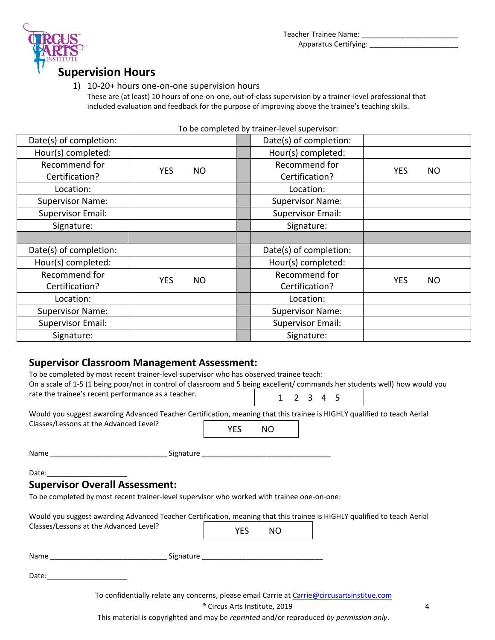Teacher Trainee Name: \_\_\_\_\_\_\_\_ Apparatus Certifying: \_\_\_\_\_\_\_\_\_\_\_\_\_\_\_\_\_\_\_\_\_\_



## **Supervision Hours**

#### 1) 10-20+ hours one-on-one supervision hours

These are (at least) 10 hours of one-on-one, out-of-class supervision by a trainer-level professional that included evaluation and feedback for the purpose of improving above the trainee's teaching skills.

| Date(s) of completion:   |            |           | Date(s) of completion:   |            |           |
|--------------------------|------------|-----------|--------------------------|------------|-----------|
| Hour(s) completed:       |            |           | Hour(s) completed:       |            |           |
| Recommend for            | <b>YES</b> |           | Recommend for            |            |           |
| Certification?           |            | <b>NO</b> | Certification?           | <b>YES</b> | <b>NO</b> |
| Location:                |            |           | Location:                |            |           |
| <b>Supervisor Name:</b>  |            |           | <b>Supervisor Name:</b>  |            |           |
| <b>Supervisor Email:</b> |            |           | <b>Supervisor Email:</b> |            |           |
| Signature:               |            |           | Signature:               |            |           |
|                          |            |           |                          |            |           |
| Date(s) of completion:   |            |           | Date(s) of completion:   |            |           |
| Hour(s) completed:       |            |           | Hour(s) completed:       |            |           |
| Recommend for            | <b>YES</b> | <b>NO</b> | Recommend for            | <b>YES</b> | <b>NO</b> |
| Certification?           |            |           | Certification?           |            |           |
| Location:                |            |           | Location:                |            |           |
| <b>Supervisor Name:</b>  |            |           | <b>Supervisor Name:</b>  |            |           |
| <b>Supervisor Email:</b> |            |           | <b>Supervisor Email:</b> |            |           |
| Signature:               |            |           | Signature:               |            |           |
|                          |            |           |                          |            |           |

#### To be completed by trainer-level supervisor:

#### **Supervisor Classroom Management Assessment:**

| To be completed by most recent trainer-level supervisor who has observed trainee teach:<br>On a scale of 1-5 (1 being poor/not in control of classroom and 5 being excellent/ commands her students well) how would you |                                          |     |                     |  |  |   |
|-------------------------------------------------------------------------------------------------------------------------------------------------------------------------------------------------------------------------|------------------------------------------|-----|---------------------|--|--|---|
| rate the trainee's recent performance as a teacher.                                                                                                                                                                     |                                          |     | $1 \t2 \t3 \t4 \t5$ |  |  |   |
| Would you suggest awarding Advanced Teacher Certification, meaning that this trainee is HIGHLY qualified to teach Aerial                                                                                                |                                          |     |                     |  |  |   |
| Classes/Lessons at the Advanced Level?                                                                                                                                                                                  | <b>YES</b>                               | NO. |                     |  |  |   |
|                                                                                                                                                                                                                         |                                          |     |                     |  |  |   |
|                                                                                                                                                                                                                         |                                          |     |                     |  |  |   |
| <b>Supervisor Overall Assessment:</b>                                                                                                                                                                                   |                                          |     |                     |  |  |   |
| To be completed by most recent trainer-level supervisor who worked with trainee one-on-one:                                                                                                                             |                                          |     |                     |  |  |   |
| Would you suggest awarding Advanced Teacher Certification, meaning that this trainee is HIGHLY qualified to teach Aerial                                                                                                |                                          |     |                     |  |  |   |
| Classes/Lessons at the Advanced Level?                                                                                                                                                                                  | <b>YES</b>                               | NO  |                     |  |  |   |
|                                                                                                                                                                                                                         |                                          |     |                     |  |  |   |
| Date: Date:                                                                                                                                                                                                             |                                          |     |                     |  |  |   |
| To confidentially relate any concerns, please email Carrie at Carrie@circusartsinstitue.com                                                                                                                             |                                          |     |                     |  |  |   |
|                                                                                                                                                                                                                         | <sup>®</sup> Circus Arts Institute, 2019 |     |                     |  |  | 4 |

This material is copyrighted and may be *reprinted* and/or reproduced *by permission only*.